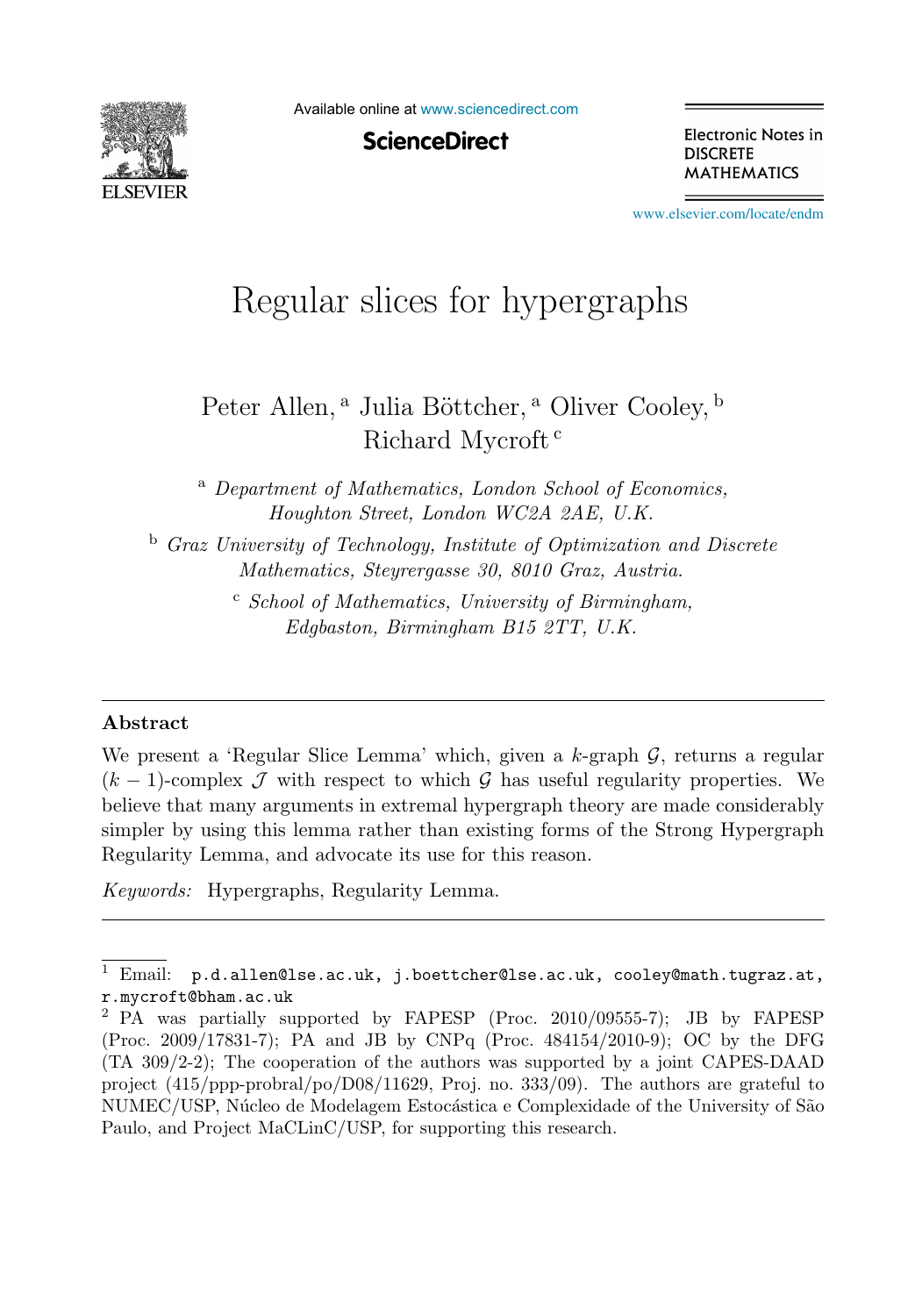

Available online at [www.sciencedirect.com](http://www.sciencedirect.com)

**ScienceDirect** 

Electronic Notes in **DISCRETE MATHEMATICS** 

[www.elsevier.com/locate/endm](http://www.elsevier.com/locate/endm)

# Regular slices for hypergraphs

## Peter Allen,<sup>a</sup> Julia Böttcher,<sup>a</sup> Oliver Cooley,<sup>b</sup> Richard Mycroft <sup>c</sup>

<sup>a</sup> *Department of Mathematics, London School of Economics, Houghton Street, London WC2A 2AE, U.K.*

<sup>b</sup> *Graz University of Technology, Institute of Optimization and Discrete Mathematics, Steyrergasse 30, 8010 Graz, Austria.*

> <sup>c</sup> *School of Mathematics, University of Birmingham, Edgbaston, Birmingham B15 2TT, U.K.*

#### **Abstract**

We present a 'Regular Slice Lemma' which, given a  $k$ -graph  $\mathcal{G}$ , returns a regular  $(k-1)$ -complex  $\mathcal J$  with respect to which  $\mathcal G$  has useful regularity properties. We believe that many arguments in extremal hypergraph theory are made considerably simpler by using this lemma rather than existing forms of the Strong Hypergraph Regularity Lemma, and advocate its use for this reason.

*Keywords:* Hypergraphs, Regularity Lemma.

 $1$  Email:  $p.d.$ allen@lse.ac.uk, j.boettcher@lse.ac.uk, cooley@math.tugraz.at, r.mycroft@bham.ac.uk

<sup>2</sup> PA was partially supported by FAPESP (Proc. 2010/09555-7); JB by FAPESP (Proc. 2009/17831-7); PA and JB by CNPq (Proc. 484154/2010-9); OC by the DFG (TA 309/2-2); The cooperation of the authors was supported by a joint CAPES-DAAD project (415/ppp-probral/po/D08/11629, Proj. no. 333/09). The authors are grateful to NUMEC/USP, Núcleo de Modelagem Estocástica e Complexidade of the University of São Paulo, and Project MaCLinC/USP, for supporting this research.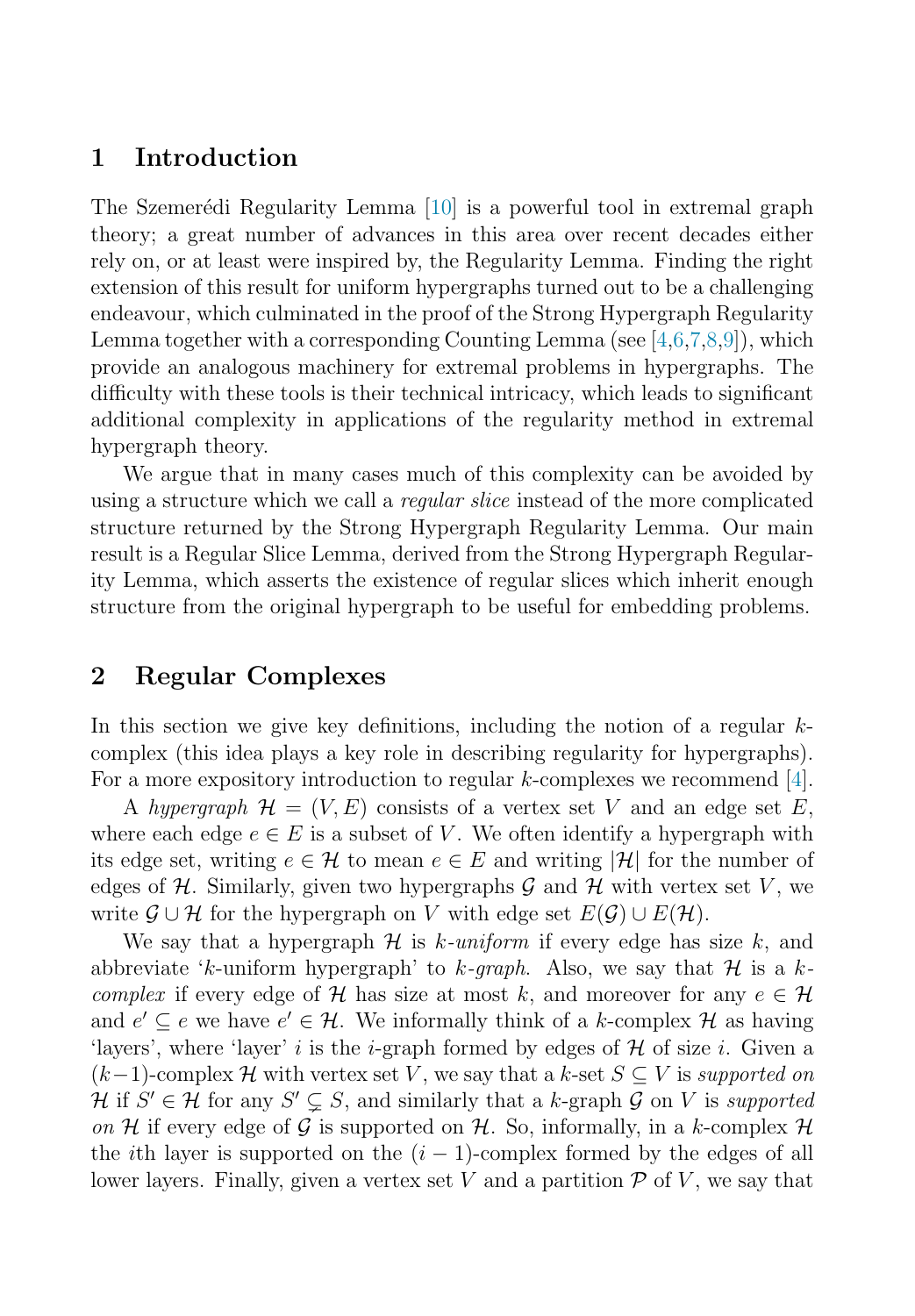## **1 Introduction**

The Szemerédi Regularity Lemma [\[10\]](#page-7-0) is a powerful tool in extremal graph theory; a great number of advances in this area over recent decades either rely on, or at least were inspired by, the Regularity Lemma. Finding the right extension of this result for uniform hypergraphs turned out to be a challenging endeavour, which culminated in the proof of the Strong Hypergraph Regularity Lemma together with a corresponding Counting Lemma (see  $[4,6,7,8,9]$ ), which provide an analogous machinery for extremal problems in hypergraphs. The difficulty with these tools is their technical intricacy, which leads to significant additional complexity in applications of the regularity method in extremal hypergraph theory.

We argue that in many cases much of this complexity can be avoided by using a structure which we call a regular slice instead of the more complicated structure returned by the Strong Hypergraph Regularity Lemma. Our main result is a Regular Slice Lemma, derived from the Strong Hypergraph Regularity Lemma, which asserts the existence of regular slices which inherit enough structure from the original hypergraph to be useful for embedding problems.

## **2 Regular Complexes**

In this section we give key definitions, including the notion of a regular  $k$ complex (this idea plays a key role in describing regularity for hypergraphs). For a more expository introduction to regular  $k$ -complexes we recommend [\[4\]](#page-7-0).

A hypergraph  $\mathcal{H} = (V, E)$  consists of a vertex set V and an edge set E, where each edge  $e \in E$  is a subset of V. We often identify a hypergraph with its edge set, writing  $e \in \mathcal{H}$  to mean  $e \in E$  and writing  $|\mathcal{H}|$  for the number of edges of  $H$ . Similarly, given two hypergraphs  $G$  and  $H$  with vertex set V, we write  $\mathcal{G} \cup \mathcal{H}$  for the hypergraph on V with edge set  $E(\mathcal{G}) \cup E(\mathcal{H})$ .

We say that a hypergraph  $\mathcal H$  is k-uniform if every edge has size k, and abbreviate 'k-uniform hypergraph' to k-qraph. Also, we say that H is a k*complex* if every edge of H has size at most k, and moreover for any  $e \in \mathcal{H}$ and  $e' \subseteq e$  we have  $e' \in \mathcal{H}$ . We informally think of a k-complex  $\mathcal{H}$  as having 'layers', where 'layer' i is the *i*-graph formed by edges of  $\mathcal H$  of size i. Given a  $(k-1)$ -complex H with vertex set V, we say that a k-set  $S \subseteq V$  is supported on  $\mathcal{H}$  if  $S' \in \mathcal{H}$  for any  $S' \subsetneq S$ , and similarly that a k-graph  $\mathcal{G}$  on  $V$  is supported on H if every edge of G is supported on H. So, informally, in a k-complex H the *i*th layer is supported on the  $(i - 1)$ -complex formed by the edges of all lower layers. Finally, given a vertex set V and a partition  $\mathcal P$  of V, we say that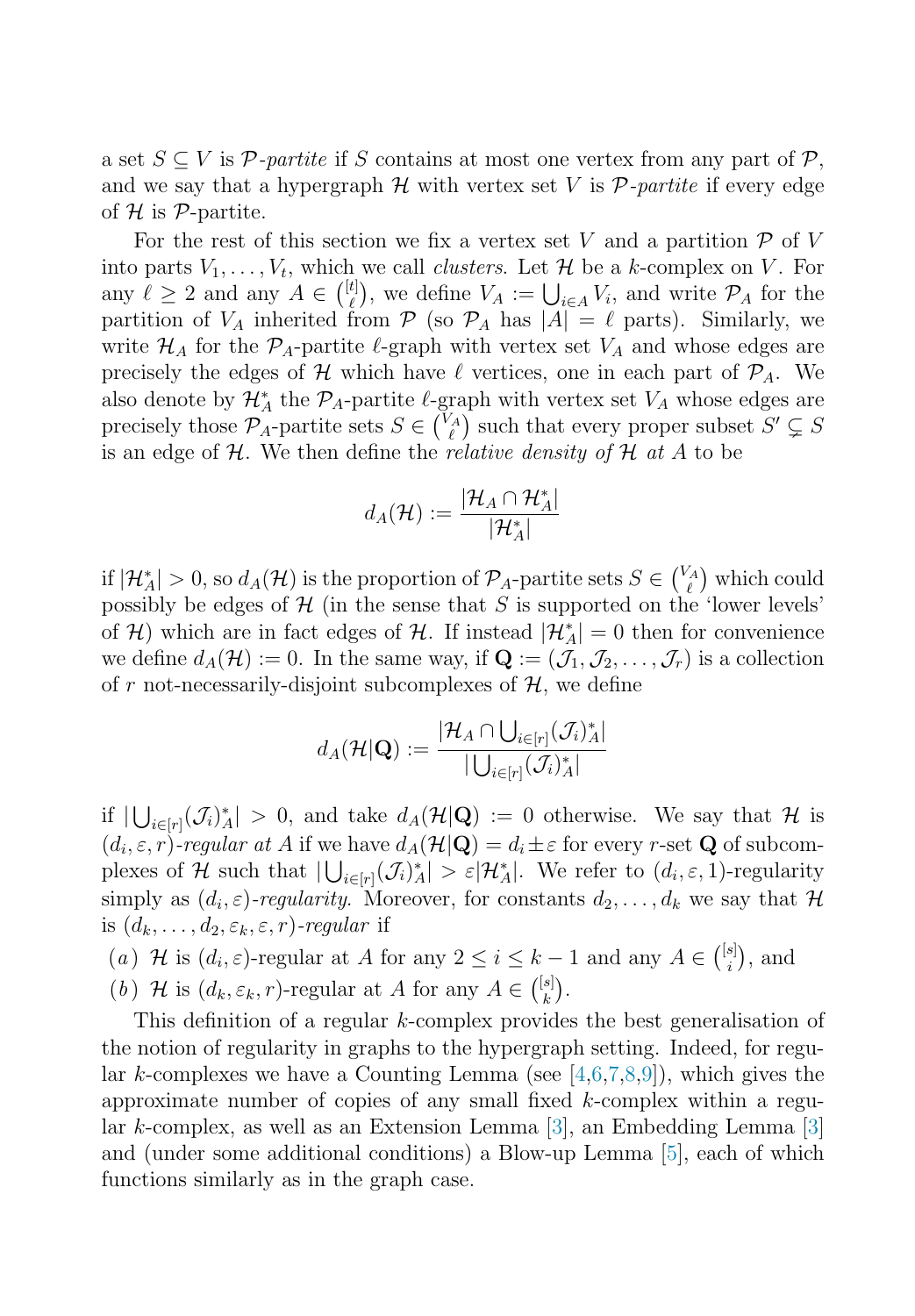a set  $S \subseteq V$  is P-partite if S contains at most one vertex from any part of P, and we say that a hypergraph  $\mathcal H$  with vertex set V is  $\mathcal P$ -partite if every edge of  $H$  is  $P$ -partite.

For the rest of this section we fix a vertex set V and a partition  $\mathcal P$  of V into parts  $V_1, \ldots, V_t$ , which we call *clusters*. Let  $\mathcal H$  be a k-complex on  $V$ . For any  $\ell \geq 2$  and any  $A \in \binom{[t]}{\ell}$  $\mathcal{L}^{(t)}_{\ell}$ , we define  $V_A := \bigcup_{i \in A} V_i$ , and write  $\mathcal{P}_A$  for the partition of  $V_A$  inherited from  $P$  (so  $P_A$  has  $|A| = \ell$  parts). Similarly, we write  $\mathcal{H}_A$  for the  $\mathcal{P}_A$ -partite  $\ell$ -graph with vertex set  $V_A$  and whose edges are precisely the edges of  $\mathcal H$  which have  $\ell$  vertices, one in each part of  $\mathcal P_A$ . We also denote by  $\mathcal{H}_A^*$  the  $\mathcal{P}_A$ -partite  $\ell$ -graph with vertex set  $V_A$  whose edges are precisely those  $\mathcal{P}_A$ -partite sets  $S \in \binom{V_A}{\ell}$  $\binom{Z}{\ell}$  such that every proper subset  $S' \subsetneq S$ is an edge of  $H$ . We then define the *relative density of*  $H$  at  $A$  to be

$$
d_A(\mathcal{H}) := \frac{|\mathcal{H}_A \cap \mathcal{H}_A^*|}{|\mathcal{H}_A^*|}
$$

if  $|\mathcal{H}_A^*| > 0$ , so  $d_A(\mathcal{H})$  is the proportion of  $\mathcal{P}_A$ -partite sets  $S \in \begin{pmatrix} V_A \\ \ell \end{pmatrix}$  $\binom{A}{\ell}$  which could possibly be edges of  $H$  (in the sense that S is supported on the 'lower levels' of H) which are in fact edges of H. If instead  $|\mathcal{H}_A^*| = 0$  then for convenience we define  $d_A(\mathcal{H}) := 0$ . In the same way, if  $\mathbf{Q} := (\mathcal{J}_1, \mathcal{J}_2, \dots, \mathcal{J}_r)$  is a collection of r not-necessarily-disjoint subcomplexes of  $H$ , we define

$$
d_A(\mathcal{H}|\mathbf{Q}) := \frac{|\mathcal{H}_A \cap \bigcup_{i \in [r]} (\mathcal{J}_i)^*_{A}|}{|\bigcup_{i \in [r]} (\mathcal{J}_i)^*_{A}|}
$$

if  $|\bigcup_{i\in[r]}(\mathcal{J}_i)^*|>0$ , and take  $d_A(\mathcal{H}|\mathbf{Q}) := 0$  otherwise. We say that H is  $(d_i, \varepsilon, r)$ -regular at A if we have  $d_A(\mathcal{H}|\mathbf{Q}) = d_i \pm \varepsilon$  for every r-set **Q** of subcomplexes of H such that  $|\bigcup_{i\in[r]} (\mathcal{J}_i)^*_{A}| > \varepsilon |\mathcal{H}_A^*|$ . We refer to  $(d_i, \varepsilon, 1)$ -regularity simply as  $(d_i, \varepsilon)$ -regularity. Moreover, for constants  $d_2, \ldots, d_k$  we say that H is  $(d_k, \ldots, d_2, \varepsilon_k, \varepsilon, r)$ -regular if

(a)  $\mathcal H$  is  $(d_i, \varepsilon)$ -regular at A for any  $2 \leq i \leq k-1$  and any  $A \in \binom{[s]}{i}$  $_{i}^{s}$ ), and (b) H is  $(d_k, \varepsilon_k, r)$ -regular at A for any  $A \in \binom{[s]}{k}$  $\binom{s}{k}$ .

This definition of a regular k-complex provides the best generalisation of the notion of regularity in graphs to the hypergraph setting. Indeed, for regular k-complexes we have a Counting Lemma (see  $[4,6,7,8,9]$ ), which gives the approximate number of copies of any small fixed k-complex within a regular k-complex, as well as an Extension Lemma [\[3\]](#page-7-0), an Embedding Lemma [\[3\]](#page-7-0) and (under some additional conditions) a Blow-up Lemma [\[5\]](#page-7-0), each of which functions similarly as in the graph case.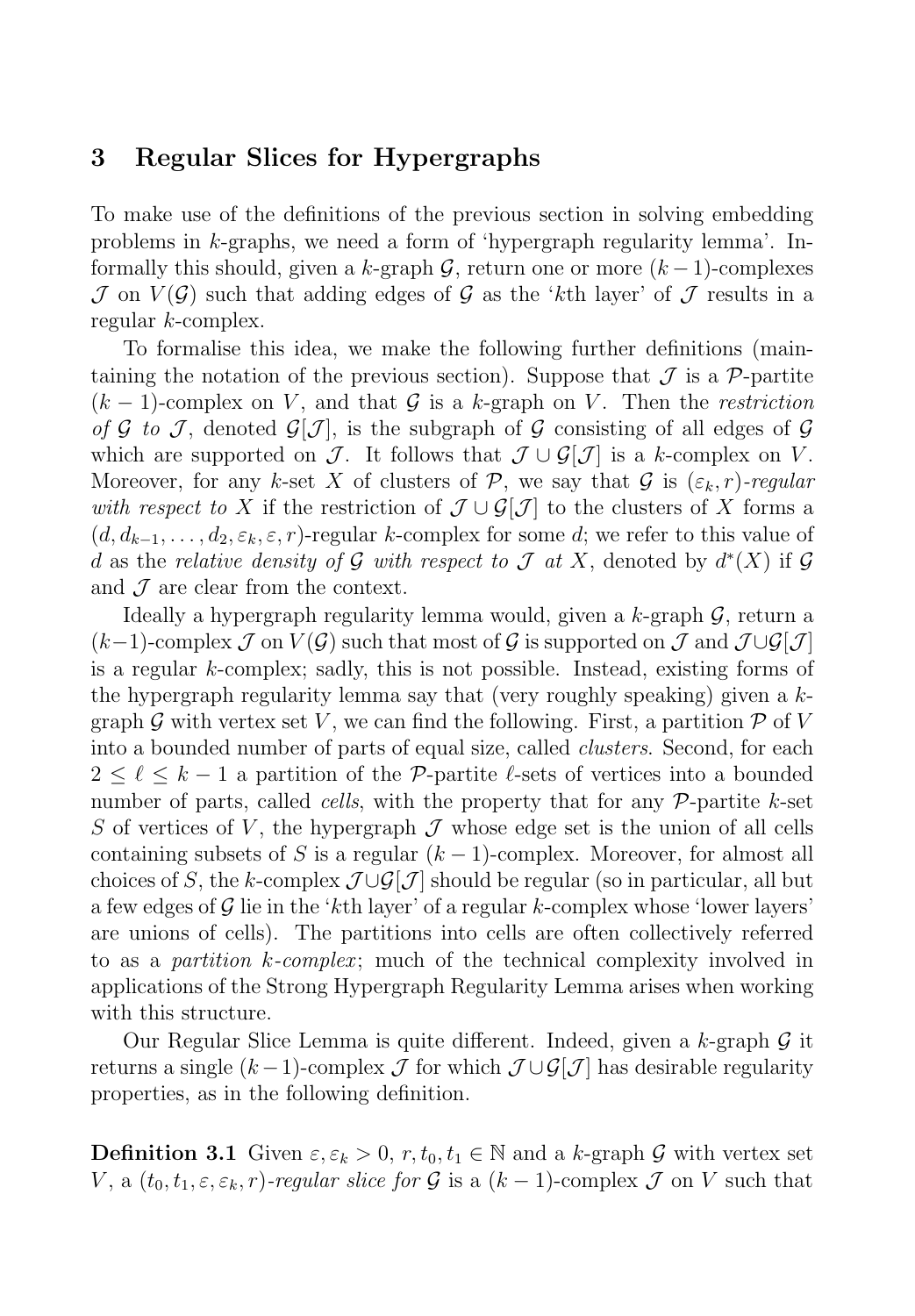## **3 Regular Slices for Hypergraphs**

To make use of the definitions of the previous section in solving embedding problems in k-graphs, we need a form of 'hypergraph regularity lemma'. Informally this should, given a k-graph G, return one or more  $(k-1)$ -complexes  $\mathcal J$  on  $V(\mathcal G)$  such that adding edges of  $\mathcal G$  as the 'kth layer' of  $\mathcal J$  results in a regular k-complex.

To formalise this idea, we make the following further definitions (maintaining the notation of the previous section). Suppose that  $\mathcal J$  is a P-partite  $(k-1)$ -complex on V, and that G is a k-graph on V. Then the restriction of G to J, denoted  $\mathcal{G}[\mathcal{J}]$ , is the subgraph of G consisting of all edges of G which are supported on J. It follows that  $\mathcal{J} \cup \mathcal{G}[\mathcal{J}]$  is a k-complex on V. Moreover, for any k-set X of clusters of P, we say that G is  $(\varepsilon_k, r)$ -regular with respect to X if the restriction of  $\mathcal{J} \cup \mathcal{G}[\mathcal{J}]$  to the clusters of X forms a  $(d, d_{k-1}, \ldots, d_2, \varepsilon_k, \varepsilon, r)$ -regular k-complex for some d; we refer to this value of d as the relative density of G with respect to  $\mathcal J$  at X, denoted by  $d^*(X)$  if G and  $\mathcal J$  are clear from the context.

Ideally a hypergraph regularity lemma would, given a  $k$ -graph  $\mathcal{G}$ , return a  $(k-1)$ -complex  $\mathcal J$  on  $V(\mathcal G)$  such that most of  $\mathcal G$  is supported on  $\mathcal J$  and  $\mathcal J \cup \mathcal G[\mathcal J]$ is a regular k-complex; sadly, this is not possible. Instead, existing forms of the hypergraph regularity lemma say that (very roughly speaking) given a kgraph G with vertex set V, we can find the following. First, a partition  $\mathcal{P}$  of V into a bounded number of parts of equal size, called *clusters*. Second, for each  $2 \leq \ell \leq k-1$  a partition of the P-partite  $\ell$ -sets of vertices into a bounded number of parts, called *cells*, with the property that for any  $\mathcal{P}$ -partite k-set S of vertices of V, the hypergraph  $\mathcal J$  whose edge set is the union of all cells containing subsets of S is a regular  $(k-1)$ -complex. Moreover, for almost all choices of S, the k-complex  $\mathcal{J}\cup\mathcal{G}[\mathcal{J}]$  should be regular (so in particular, all but a few edges of  $\mathcal G$  lie in the 'k<sup>th</sup> layer' of a regular k-complex whose 'lower layers' are unions of cells). The partitions into cells are often collectively referred to as a *partition k-complex*; much of the technical complexity involved in applications of the Strong Hypergraph Regularity Lemma arises when working with this structure.

Our Regular Slice Lemma is quite different. Indeed, given a k-graph  $\mathcal G$  it returns a single  $(k-1)$ -complex  $\mathcal J$  for which  $\mathcal J \cup \mathcal G[\mathcal J]$  has desirable regularity properties, as in the following definition.

**Definition 3.1** Given  $\varepsilon, \varepsilon_k > 0$ ,  $r, t_0, t_1 \in \mathbb{N}$  and a k-graph G with vertex set V, a  $(t_0, t_1, \varepsilon, \varepsilon_k, r)$ -regular slice for G is a  $(k-1)$ -complex J on V such that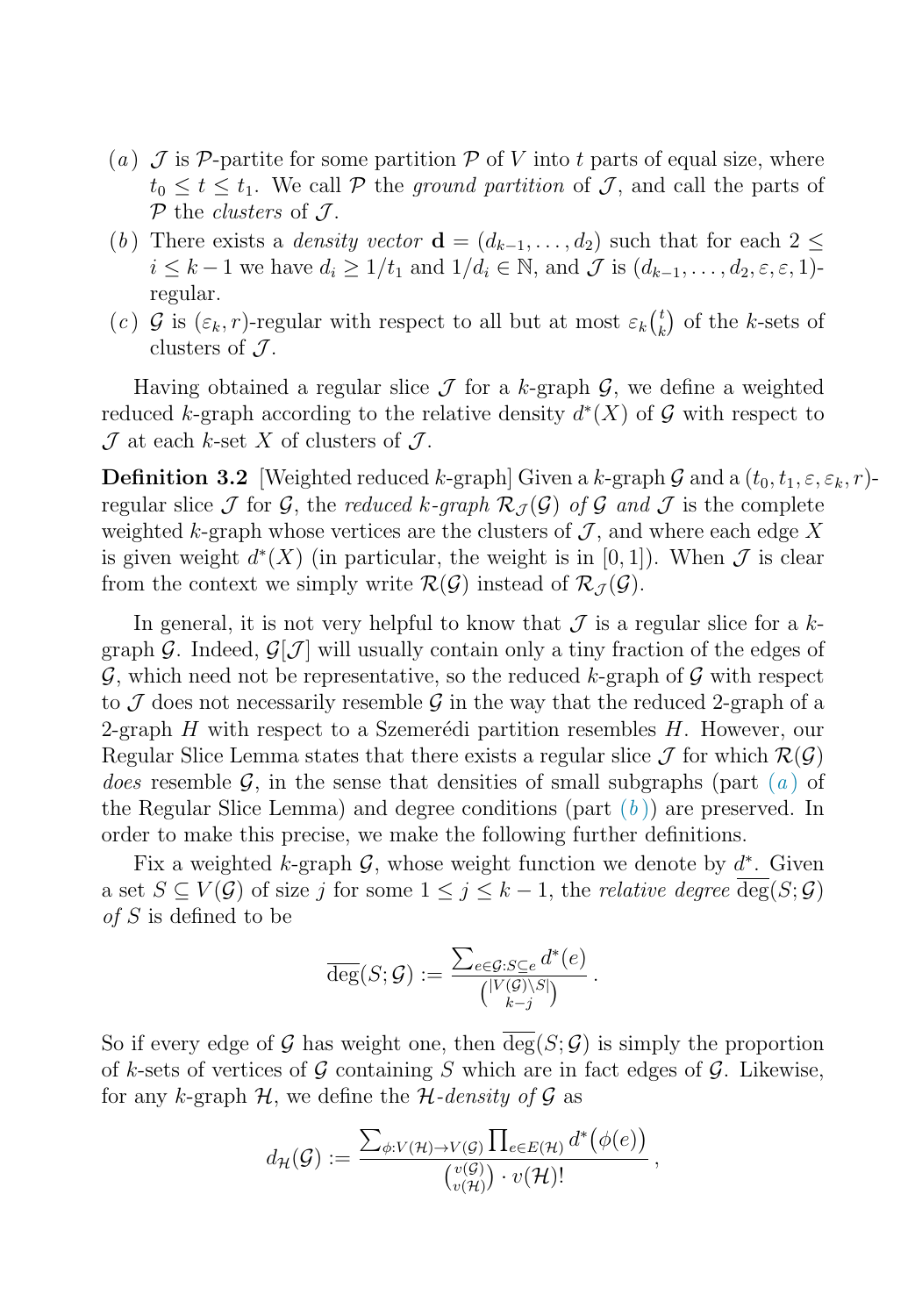- <span id="page-4-0"></span>(a)  $\mathcal J$  is P-partite for some partition P of V into t parts of equal size, where  $t_0 \leq t \leq t_1$ . We call P the ground partition of J, and call the parts of  $P$  the *clusters* of  $J$ .
- (b) There exists a *density vector*  $\mathbf{d} = (d_{k-1}, \ldots, d_2)$  such that for each  $2 \leq$  $i \leq k-1$  we have  $d_i \geq 1/t_1$  and  $1/d_i \in \mathbb{N}$ , and  $\mathcal J$  is  $(d_{k-1},\ldots,d_2,\varepsilon,\varepsilon,1)$ regular.
- (c)  $\mathcal{G}$  is  $(\varepsilon_k, r)$ -regular with respect to all but at most  $\varepsilon_k {t \choose k}$  $\binom{t}{k}$  of the k-sets of clusters of  $\mathcal{J}$ .

Having obtained a regular slice  $\mathcal J$  for a k-graph  $\mathcal G$ , we define a weighted reduced k-graph according to the relative density  $d^*(X)$  of G with respect to  $\mathcal J$  at each k-set X of clusters of  $\mathcal J$ .

**Definition 3.2** [Weighted reduced k-graph] Given a k-graph G and a  $(t_0, t_1, \varepsilon, \varepsilon_k, r)$ regular slice J for G, the reduced k-graph  $\mathcal{R}_{\mathcal{I}}(\mathcal{G})$  of G and J is the complete weighted k-graph whose vertices are the clusters of  $\mathcal{J}$ , and where each edge X is given weight  $d^*(X)$  (in particular, the weight is in [0, 1]). When  $\mathcal J$  is clear from the context we simply write  $\mathcal{R}(\mathcal{G})$  instead of  $\mathcal{R}_{\mathcal{I}}(\mathcal{G})$ .

In general, it is not very helpful to know that  $\mathcal J$  is a regular slice for a kgraph G. Indeed,  $\mathcal{G}[\mathcal{J}]$  will usually contain only a tiny fraction of the edges of  $\mathcal{G}$ , which need not be representative, so the reduced k-graph of  $\mathcal{G}$  with respect to  $\mathcal J$  does not necessarily resemble  $\mathcal G$  in the way that the reduced 2-graph of a 2-graph  $H$  with respect to a Szemerédi partition resembles  $H$ . However, our Regular Slice Lemma states that there exists a regular slice  $\mathcal J$  for which  $\mathcal{R}(\mathcal{G})$ *does* resemble G, in the sense th[a](#page-5-0)t densities of small subgraphs (part  $(a)$ ) of the Regular Slice Lemma) and degree conditions (part  $(b)$ ) are preserved. In order to make this precise, we make the following further definitions.

Fix a weighted k-graph  $\mathcal{G}$ , whose weight function we denote by  $d^*$ . Given a set  $S \subseteq V(\mathcal{G})$  of size j for some  $1 \leq j \leq k-1$ , the *relative degree*  $\overline{\deg}(S; \mathcal{G})$ of S is defined to be

$$
\overline{\deg}(S; \mathcal{G}) := \frac{\sum_{e \in \mathcal{G}: S \subseteq e} d^*(e)}{\binom{|V(\mathcal{G}) \backslash S|}{k-j}}.
$$

So if every edge of G has weight one, then  $\overline{\deg}(S; \mathcal{G})$  is simply the proportion of k-sets of vertices of  $\mathcal G$  containing S which are in fact edges of  $\mathcal G$ . Likewise, for any k-graph  $H$ , we define the  $H$ -density of  $G$  as

$$
d_{\mathcal{H}}(\mathcal{G}) := \frac{\sum_{\phi: V(\mathcal{H}) \to V(\mathcal{G})} \prod_{e \in E(\mathcal{H})} d^*(\phi(e))}{\binom{v(\mathcal{G})}{v(\mathcal{H})} \cdot v(\mathcal{H})!},
$$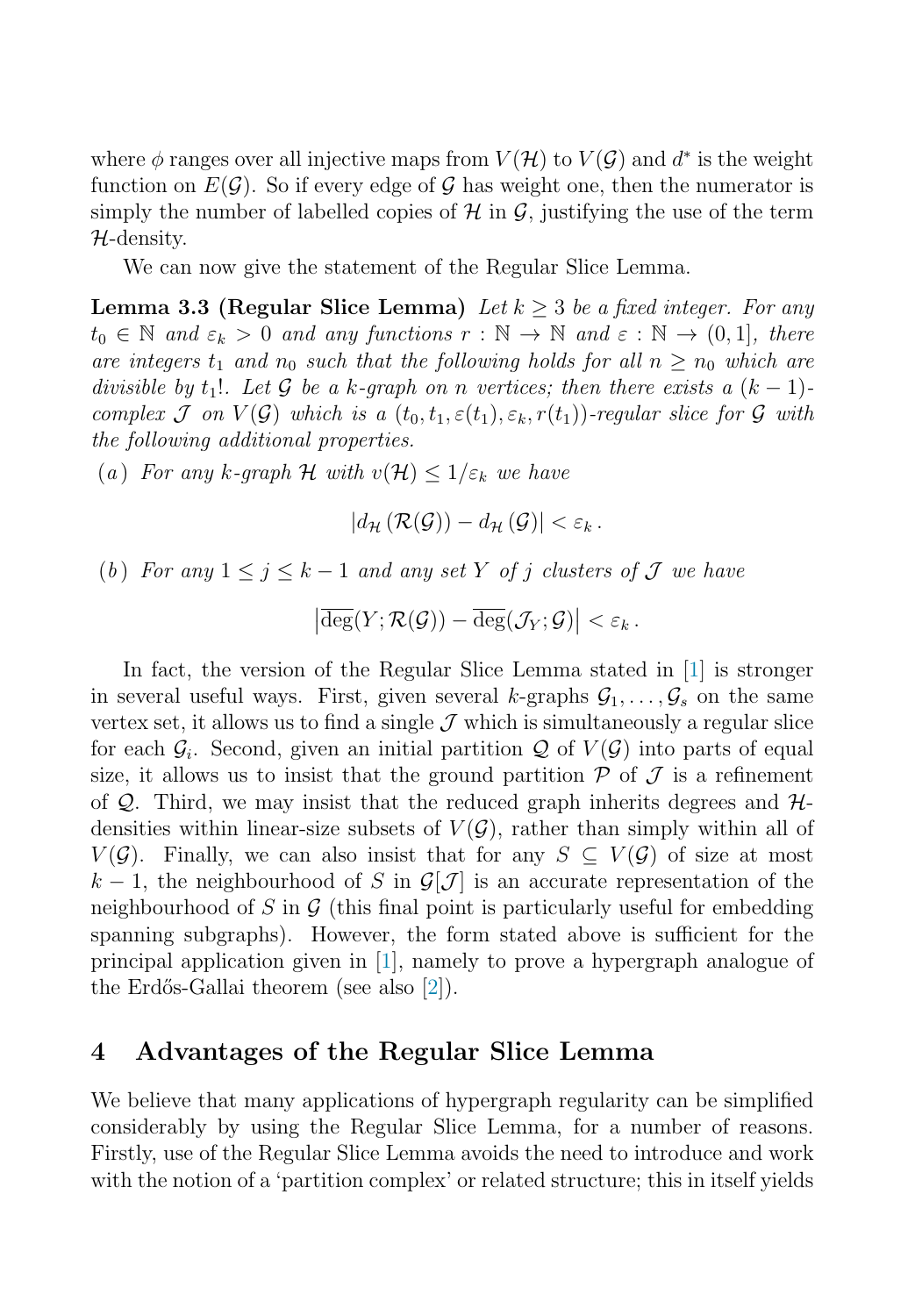<span id="page-5-0"></span>where  $\phi$  ranges over all injective maps from  $V(\mathcal{H})$  to  $V(\mathcal{G})$  and  $d^*$  is the weight function on  $E(\mathcal{G})$ . So if every edge of  $\mathcal{G}$  has weight one, then the numerator is simply the number of labelled copies of  $\mathcal H$  in  $\mathcal G$ , justifying the use of the term  $H$ -density.

We can now give the statement of the Regular Slice Lemma.

**Lemma 3.3 (Regular Slice Lemma)** Let  $k > 3$  be a fixed integer. For any  $t_0 \in \mathbb{N}$  and  $\varepsilon_k > 0$  and any functions  $r : \mathbb{N} \to \mathbb{N}$  and  $\varepsilon : \mathbb{N} \to (0,1]$ , there are integers  $t_1$  and  $n_0$  such that the following holds for all  $n \geq n_0$  which are divisible by t<sub>1</sub>!. Let G be a k-graph on n vertices; then there exists a  $(k-1)$ complex J on  $V(G)$  which is a  $(t_0, t_1, \varepsilon(t_1), \varepsilon_k, r(t_1))$ -regular slice for G with the following additional properties.

(a) For any k-graph H with  $v(H) \leq 1/\varepsilon_k$  we have

$$
|d_{\mathcal{H}}(\mathcal{R}(\mathcal{G})) - d_{\mathcal{H}}(\mathcal{G})| < \varepsilon_k.
$$

(b) For any  $1 \leq j \leq k-1$  and any set Y of j clusters of J we have

$$
\left|\overline{\deg}(Y;\mathcal{R}(\mathcal{G})) - \overline{\deg}(\mathcal{J}_Y;\mathcal{G})\right| < \varepsilon_k.
$$

In fact, the version of the Regular Slice Lemma stated in [\[1\]](#page-7-0) is stronger in several useful ways. First, given several k-graphs  $\mathcal{G}_1,\ldots,\mathcal{G}_s$  on the same vertex set, it allows us to find a single  $\mathcal J$  which is simultaneously a regular slice for each  $\mathcal{G}_i$ . Second, given an initial partition Q of  $V(\mathcal{G})$  into parts of equal size, it allows us to insist that the ground partition  $P$  of  $J$  is a refinement of  $\mathcal{Q}$ . Third, we may insist that the reduced graph inherits degrees and  $\mathcal{H}$ densities within linear-size subsets of  $V(\mathcal{G})$ , rather than simply within all of  $V(\mathcal{G})$ . Finally, we can also insist that for any  $S \subseteq V(\mathcal{G})$  of size at most k − 1, the neighbourhood of S in  $\mathcal{G}[\mathcal{J}]$  is an accurate representation of the neighbourhood of S in G (this final point is particularly useful for embedding spanning subgraphs). However, the form stated above is sufficient for the principal application given in [\[1\]](#page-7-0), namely to prove a hypergraph analogue of the Erdős-Gallai theorem (see also [\[2\]](#page-7-0)).

#### **4 Advantages of the Regular Slice Lemma**

We believe that many applications of hypergraph regularity can be simplified considerably by using the Regular Slice Lemma, for a number of reasons. Firstly, use of the Regular Slice Lemma avoids the need to introduce and work with the notion of a 'partition complex' or related structure; this in itself yields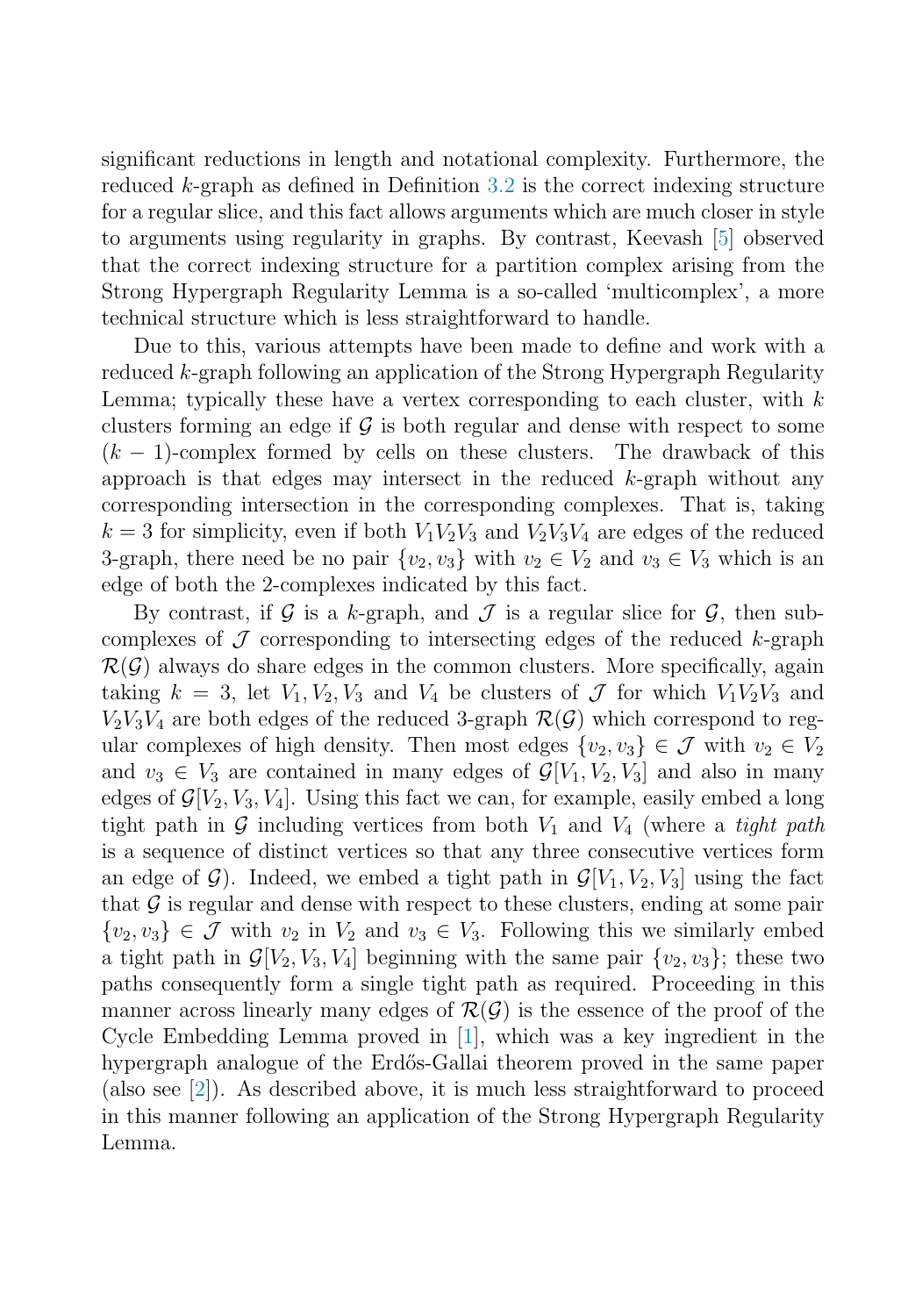significant reductions in length and notational complexity. Furthermore, the reduced  $k$ -graph as defined in Definition [3.2](#page-4-0) is the correct indexing structure for a regular slice, and this fact allows arguments which are much closer in style to arguments using regularity in graphs. By contrast, Keevash [\[5\]](#page-7-0) observed that the correct indexing structure for a partition complex arising from the Strong Hypergraph Regularity Lemma is a so-called 'multicomplex', a more technical structure which is less straightforward to handle.

Due to this, various attempts have been made to define and work with a reduced k-graph following an application of the Strong Hypergraph Regularity Lemma; typically these have a vertex corresponding to each cluster, with  $k$ clusters forming an edge if G is both regular and dense with respect to some  $(k-1)$ -complex formed by cells on these clusters. The drawback of this  $(k-1)$ -complex formed by cells on these clusters. approach is that edges may intersect in the reduced  $k$ -graph without any corresponding intersection in the corresponding complexes. That is, taking  $k = 3$  for simplicity, even if both  $V_1V_2V_3$  and  $V_2V_3V_4$  are edges of the reduced 3-graph, there need be no pair  $\{v_2, v_3\}$  with  $v_2 \in V_2$  and  $v_3 \in V_3$  which is an edge of both the 2-complexes indicated by this fact.

By contrast, if G is a k-graph, and  $\mathcal J$  is a regular slice for  $\mathcal G$ , then subcomplexes of  $\mathcal J$  corresponding to intersecting edges of the reduced k-graph  $\mathcal{R}(\mathcal{G})$  always do share edges in the common clusters. More specifically, again taking  $k = 3$ , let  $V_1, V_2, V_3$  and  $V_4$  be clusters of  $\mathcal J$  for which  $V_1V_2V_3$  and  $V_2V_3V_4$  are both edges of the reduced 3-graph  $\mathcal{R}(\mathcal{G})$  which correspond to regular complexes of high density. Then most edges  $\{v_2, v_3\} \in \mathcal{J}$  with  $v_2 \in V_2$ and  $v_3 \in V_3$  are contained in many edges of  $\mathcal{G}[V_1, V_2, V_3]$  and also in many edges of  $\mathcal{G}[V_2, V_3, V_4]$ . Using this fact we can, for example, easily embed a long tight path in G including vertices from both  $V_1$  and  $V_4$  (where a *tight path* is a sequence of distinct vertices so that any three consecutive vertices form an edge of  $\mathcal{G}$ ). Indeed, we embed a tight path in  $\mathcal{G}[V_1, V_2, V_3]$  using the fact that  $\mathcal G$  is regular and dense with respect to these clusters, ending at some pair  $\{v_2, v_3\} \in \mathcal{J}$  with  $v_2$  in  $V_2$  and  $v_3 \in V_3$ . Following this we similarly embed a tight path in  $\mathcal{G}[V_2, V_3, V_4]$  beginning with the same pair  $\{v_2, v_3\}$ ; these two paths consequently form a single tight path as required. Proceeding in this manner across linearly many edges of  $\mathcal{R}(\mathcal{G})$  is the essence of the proof of the Cycle Embedding Lemma proved in [\[1\]](#page-7-0), which was a key ingredient in the hypergraph analogue of the Erdős-Gallai theorem proved in the same paper (also see  $|2|$ ). As described above, it is much less straightforward to proceed in this manner following an application of the Strong Hypergraph Regularity Lemma.